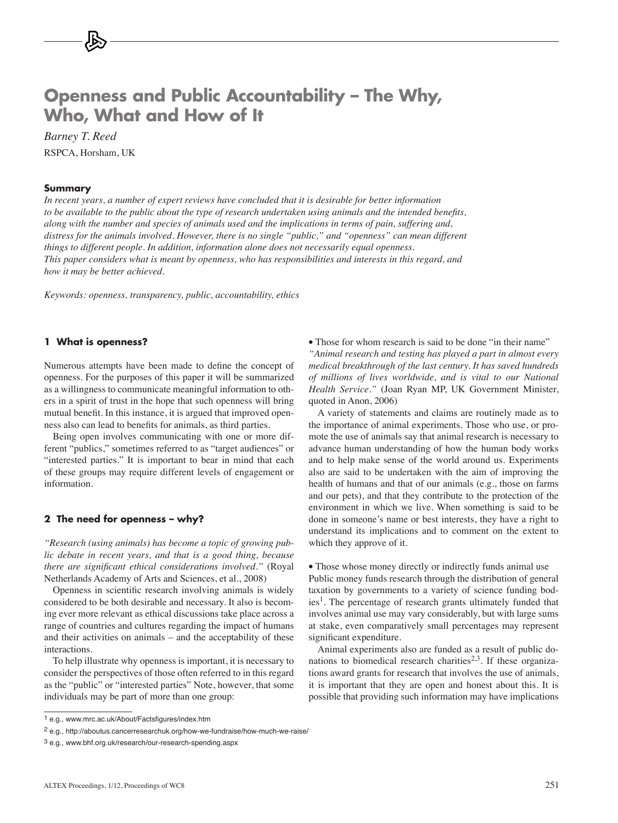# **Openness and Public Accountability – The Why, Who, What and How of It**

*Barney T. Reed* RSPCA, Horsham, UK

#### **Summary**

*In recent years, a number of expert reviews have concluded that it is desirable for better information to be available to the public about the type of research undertaken using animals and the intended benefits, along with the number and species of animals used and the implications in terms of pain, suffering and, distress for the animals involved. However, there is no single "public," and "openness" can mean different things to different people. In addition, information alone does not necessarily equal openness. This paper considers what is meant by openness, who has responsibilities and interests in this regard, and how it may be better achieved.* 

*Keywords: openness, transparency, public, accountability, ethics*

#### **1 What is openness?**

Numerous attempts have been made to define the concept of openness. For the purposes of this paper it will be summarized as a willingness to communicate meaningful information to others in a spirit of trust in the hope that such openness will bring mutual benefit. In this instance, it is argued that improved openness also can lead to benefits for animals, as third parties.

Being open involves communicating with one or more different "publics," sometimes referred to as "target audiences" or "interested parties." It is important to bear in mind that each of these groups may require different levels of engagement or information.

#### **2 The need for openness – why?**

*"Research (using animals) has become a topic of growing public debate in recent years, and that is a good thing, because there are significant ethical considerations involved."* (Royal Netherlands Academy of Arts and Sciences, et al., 2008)

Openness in scientific research involving animals is widely considered to be both desirable and necessary. It also is becoming ever more relevant as ethical discussions take place across a range of countries and cultures regarding the impact of humans and their activities on animals – and the acceptability of these interactions.

To help illustrate why openness is important, it is necessary to consider the perspectives of those often referred to in this regard as the "public" or "interested parties" Note, however, that some individuals may be part of more than one group:

• Those for whom research is said to be done "in their name" *"Animal research and testing has played a part in almost every medical breakthrough of the last century. It has saved hundreds of millions of lives worldwide, and is vital to our National Health Service."* (Joan Ryan MP, UK Government Minister, quoted in Anon, 2006)

A variety of statements and claims are routinely made as to the importance of animal experiments. Those who use, or promote the use of animals say that animal research is necessary to advance human understanding of how the human body works and to help make sense of the world around us. Experiments also are said to be undertaken with the aim of improving the health of humans and that of our animals (e.g., those on farms and our pets), and that they contribute to the protection of the environment in which we live. When something is said to be done in someone's name or best interests, they have a right to understand its implications and to comment on the extent to which they approve of it.

• Those whose money directly or indirectly funds animal use Public money funds research through the distribution of general taxation by governments to a variety of science funding bodies<sup>1</sup>. The percentage of research grants ultimately funded that involves animal use may vary considerably, but with large sums at stake, even comparatively small percentages may represent significant expenditure.

Animal experiments also are funded as a result of public donations to biomedical research charities<sup>2,3</sup>. If these organizations award grants for research that involves the use of animals, it is important that they are open and honest about this. It is possible that providing such information may have implications

<sup>1</sup> e.g., www.mrc.ac.uk/About/Factsfigures/index.htm

<sup>2</sup> e.g., http://aboutus.cancerresearchuk.org/how-we-fundraise/how-much-we-raise/

<sup>3</sup> e.g., www.bhf.org.uk/research/our-research-spending.aspx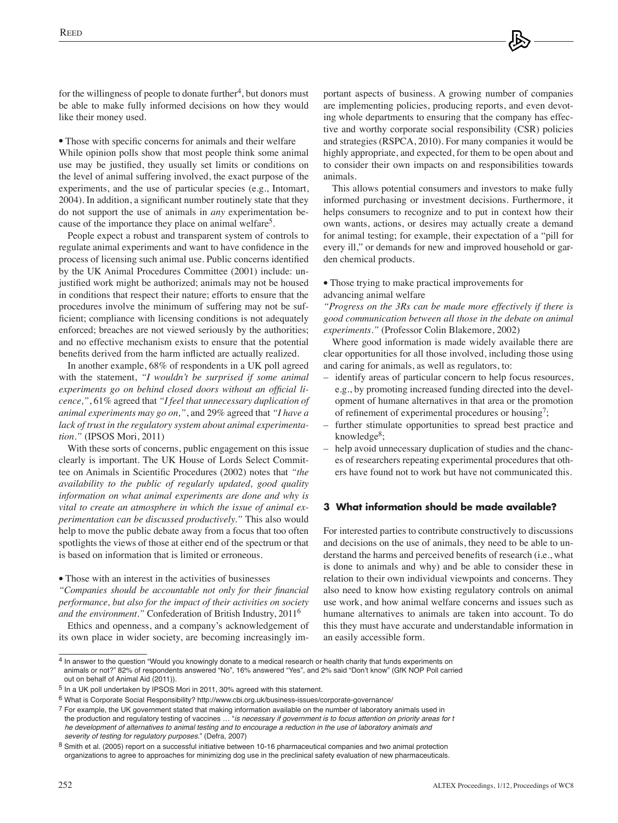for the willingness of people to donate further<sup>4</sup>, but donors must be able to make fully informed decisions on how they would like their money used.

• Those with specific concerns for animals and their welfare While opinion polls show that most people think some animal use may be justified, they usually set limits or conditions on the level of animal suffering involved, the exact purpose of the experiments, and the use of particular species (e.g., Intomart, 2004). In addition, a significant number routinely state that they do not support the use of animals in *any* experimentation because of the importance they place on animal welfare<sup>5</sup>.

People expect a robust and transparent system of controls to regulate animal experiments and want to have confidence in the process of licensing such animal use. Public concerns identified by the UK Animal Procedures Committee (2001) include: unjustified work might be authorized; animals may not be housed in conditions that respect their nature; efforts to ensure that the procedures involve the minimum of suffering may not be sufficient; compliance with licensing conditions is not adequately enforced; breaches are not viewed seriously by the authorities; and no effective mechanism exists to ensure that the potential benefits derived from the harm inflicted are actually realized.

In another example, 68% of respondents in a UK poll agreed with the statement, *"I wouldn't be surprised if some animal experiments go on behind closed doors without an official licence,"*, 61% agreed that *"I feel that unnecessary duplication of animal experiments may go on,"*, and 29% agreed that *"I have a lack of trust in the regulatory system about animal experimentation."* (IPSOS Mori, 2011)

With these sorts of concerns, public engagement on this issue clearly is important. The UK House of Lords Select Committee on Animals in Scientific Procedures (2002) notes that *"the availability to the public of regularly updated, good quality information on what animal experiments are done and why is vital to create an atmosphere in which the issue of animal experimentation can be discussed productively."* This also would help to move the public debate away from a focus that too often spotlights the views of those at either end of the spectrum or that is based on information that is limited or erroneous.

• Those with an interest in the activities of businesses *"Companies should be accountable not only for their financial performance, but also for the impact of their activities on society and the environment."* Confederation of British Industry, 2011<sup>6</sup>

Ethics and openness, and a company's acknowledgement of its own place in wider society, are becoming increasingly important aspects of business. A growing number of companies are implementing policies, producing reports, and even devoting whole departments to ensuring that the company has effective and worthy corporate social responsibility (CSR) policies and strategies (RSPCA, 2010). For many companies it would be highly appropriate, and expected, for them to be open about and to consider their own impacts on and responsibilities towards animals.

This allows potential consumers and investors to make fully informed purchasing or investment decisions. Furthermore, it helps consumers to recognize and to put in context how their own wants, actions, or desires may actually create a demand for animal testing; for example, their expectation of a "pill for every ill," or demands for new and improved household or garden chemical products.

• Those trying to make practical improvements for advancing animal welfare

*"Progress on the 3Rs can be made more effectively if there is good communication between all those in the debate on animal experiments."* (Professor Colin Blakemore, 2002)

Where good information is made widely available there are clear opportunities for all those involved, including those using and caring for animals, as well as regulators, to:

- identify areas of particular concern to help focus resources, e.g., by promoting increased funding directed into the development of humane alternatives in that area or the promotion of refinement of experimental procedures or housing';
- further stimulate opportunities to spread best practice and knowledge<sup>8</sup>;
- help avoid unnecessary duplication of studies and the chances of researchers repeating experimental procedures that others have found not to work but have not communicated this.

#### **3 What information should be made available?**

For interested parties to contribute constructively to discussions and decisions on the use of animals, they need to be able to understand the harms and perceived benefits of research (i.e., what is done to animals and why) and be able to consider these in relation to their own individual viewpoints and concerns. They also need to know how existing regulatory controls on animal use work, and how animal welfare concerns and issues such as humane alternatives to animals are taken into account. To do this they must have accurate and understandable information in an easily accessible form.

<sup>4</sup> In answer to the question "Would you knowingly donate to a medical research or health charity that funds experiments on animals or not?" 82% of respondents answered "No", 16% answered "Yes", and 2% said "Don't know" (GfK NOP Poll carried out on behalf of Animal Aid (2011)).

<sup>5</sup> In a UK poll undertaken by IPSOS Mori in 2011, 30% agreed with this statement.

<sup>6</sup> What is Corporate Social Responsibility? http://www.cbi.org.uk/business-issues/corporate-governance/

<sup>7</sup> For example, the UK government stated that making information available on the number of laboratory animals used in the production and regulatory testing of vaccines … "*is necessary if government is to focus attention on priority areas for t he development of alternatives to animal testing and to encourage a reduction in the use of laboratory animals and severity of testing for regulatory purposes*." (Defra, 2007)

<sup>8</sup> Smith et al. (2005) report on a successful initiative between 10-16 pharmaceutical companies and two animal protection organizations to agree to approaches for minimizing dog use in the preclinical safety evaluation of new pharmaceuticals.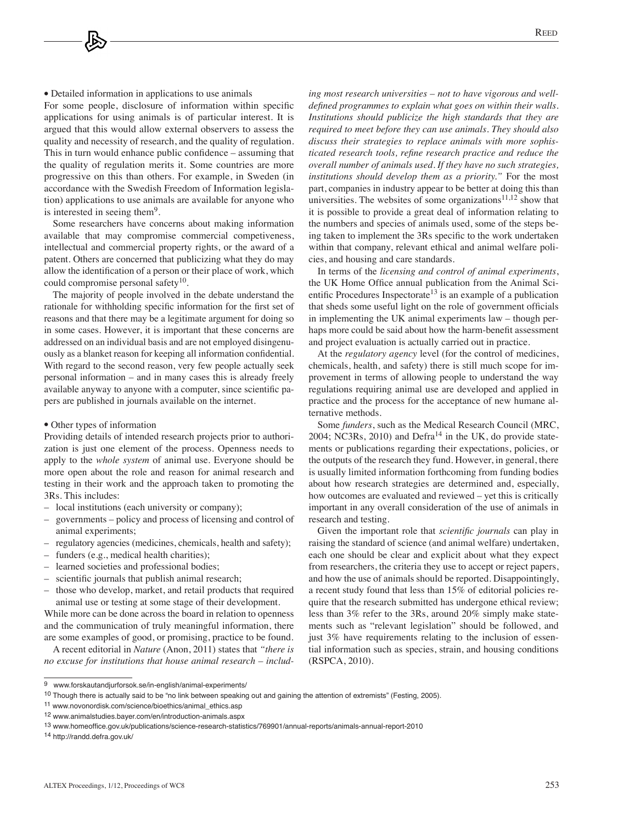• Detailed information in applications to use animals

For some people, disclosure of information within specific applications for using animals is of particular interest. It is argued that this would allow external observers to assess the quality and necessity of research, and the quality of regulation. This in turn would enhance public confidence – assuming that the quality of regulation merits it. Some countries are more progressive on this than others. For example, in Sweden (in accordance with the Swedish Freedom of Information legislation) applications to use animals are available for anyone who is interested in seeing them9.

Some researchers have concerns about making information available that may compromise commercial competiveness, intellectual and commercial property rights, or the award of a patent. Others are concerned that publicizing what they do may allow the identification of a person or their place of work, which could compromise personal safety<sup>10</sup>.

The majority of people involved in the debate understand the rationale for withholding specific information for the first set of reasons and that there may be a legitimate argument for doing so in some cases. However, it is important that these concerns are addressed on an individual basis and are not employed disingenuously as a blanket reason for keeping all information confidential. With regard to the second reason, very few people actually seek personal information – and in many cases this is already freely available anyway to anyone with a computer, since scientific papers are published in journals available on the internet.

#### • Other types of information

Providing details of intended research projects prior to authorization is just one element of the process. Openness needs to apply to the *whole system* of animal use. Everyone should be more open about the role and reason for animal research and testing in their work and the approach taken to promoting the 3Rs. This includes:

- local institutions (each university or company);
- governments policy and process of licensing and control of animal experiments;
- regulatory agencies (medicines, chemicals, health and safety);
- funders (e.g., medical health charities);
- learned societies and professional bodies;
- scientific journals that publish animal research;
- those who develop, market, and retail products that required animal use or testing at some stage of their development.

While more can be done across the board in relation to openness and the communication of truly meaningful information, there are some examples of good, or promising, practice to be found.

A recent editorial in *Nature* (Anon, 2011) states that *"there is no excuse for institutions that house animal research – includ-*

*ing most research universities – not to have vigorous and welldefined programmes to explain what goes on within their walls. Institutions should publicize the high standards that they are required to meet before they can use animals. They should also discuss their strategies to replace animals with more sophisticated research tools, refine research practice and reduce the overall number of animals used. If they have no such strategies, institutions should develop them as a priority."* For the most part, companies in industry appear to be better at doing this than universities. The websites of some organizations $11,12$  show that it is possible to provide a great deal of information relating to the numbers and species of animals used, some of the steps being taken to implement the 3Rs specific to the work undertaken within that company, relevant ethical and animal welfare policies, and housing and care standards.

In terms of the *licensing and control of animal experiments*, the UK Home Office annual publication from the Animal Scientific Procedures Inspectorate<sup>13</sup> is an example of a publication that sheds some useful light on the role of government officials in implementing the UK animal experiments law – though perhaps more could be said about how the harm-benefit assessment and project evaluation is actually carried out in practice.

At the *regulatory agency* level (for the control of medicines, chemicals, health, and safety) there is still much scope for improvement in terms of allowing people to understand the way regulations requiring animal use are developed and applied in practice and the process for the acceptance of new humane alternative methods.

Some *funders*, such as the Medical Research Council (MRC, 2004; NC3Rs, 2010) and Defra<sup>14</sup> in the UK, do provide statements or publications regarding their expectations, policies, or the outputs of the research they fund. However, in general, there is usually limited information forthcoming from funding bodies about how research strategies are determined and, especially, how outcomes are evaluated and reviewed – yet this is critically important in any overall consideration of the use of animals in research and testing.

Given the important role that *scientific journals* can play in raising the standard of science (and animal welfare) undertaken, each one should be clear and explicit about what they expect from researchers, the criteria they use to accept or reject papers, and how the use of animals should be reported. Disappointingly, a recent study found that less than 15% of editorial policies require that the research submitted has undergone ethical review; less than 3% refer to the 3Rs, around 20% simply make statements such as "relevant legislation" should be followed, and just 3% have requirements relating to the inclusion of essential information such as species, strain, and housing conditions (RSPCA, 2010).

14 http://randd.defra.gov.uk/

<sup>9</sup> www.forskautandjurforsok.se/in-english/animal-experiments/

<sup>10</sup> Though there is actually said to be "no link between speaking out and gaining the attention of extremists" (Festing, 2005).

<sup>11</sup> www.novonordisk.com/science/bioethics/animal\_ethics.asp

<sup>12</sup> www.animalstudies.bayer.com/en/introduction-animals.aspx

<sup>13</sup> www.homeoffice.gov.uk/publications/science-research-statistics/769901/annual-reports/animals-annual-report-2010